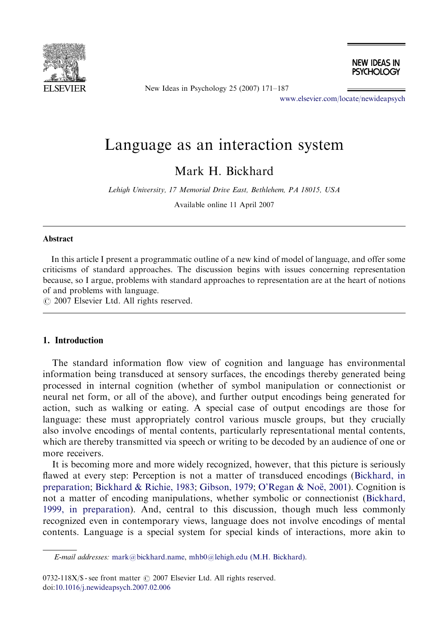

New Ideas in Psychology 25 (2007) 171–187



<www.elsevier.com/locate/newideapsych>

# Language as an interaction system

Mark H. Bickhard

Lehigh University, 17 Memorial Drive East, Bethlehem, PA 18015, USA

Available online 11 April 2007

## Abstract

In this article I present a programmatic outline of a new kind of model of language, and offer some criticisms of standard approaches. The discussion begins with issues concerning representation because, so I argue, problems with standard approaches to representation are at the heart of notions of and problems with language.

 $O$  2007 Elsevier Ltd. All rights reserved.

## 1. Introduction

The standard information flow view of cognition and language has environmental information being transduced at sensory surfaces, the encodings thereby generated being processed in internal cognition (whether of symbol manipulation or connectionist or neural net form, or all of the above), and further output encodings being generated for action, such as walking or eating. A special case of output encodings are those for language: these must appropriately control various muscle groups, but they crucially also involve encodings of mental contents, particularly representational mental contents, which are thereby transmitted via speech or writing to be decoded by an audience of one or more receivers.

It is becoming more and more widely recognized, however, that this picture is seriously flawed at every step: Perception is not a matter of transduced encodings [\(Bickhard, in](#page-15-0) [preparation](#page-15-0); [Bickhard & Richie, 1983](#page-15-0); [Gibson, 1979](#page-16-0); [O'Regan](#page-16-0) & Noë, 2001). Cognition is not a matter of encoding manipulations, whether symbolic or connectionist ([Bickhard,](#page-15-0) [1999, in preparation\)](#page-15-0). And, central to this discussion, though much less commonly recognized even in contemporary views, language does not involve encodings of mental contents. Language is a special system for special kinds of interactions, more akin to

0732-118X/\$ - see front matter  $\odot$  2007 Elsevier Ltd. All rights reserved. doi[:10.1016/j.newideapsych.2007.02.006](dx.doi.org/10.1016/j.newideapsych.2007.02.006)

E-mail addresses: mark@bickhard.name, [mhb0@lehigh.edu \(M.H. Bickhard\).](mailto:mhb0@lehigh.edu)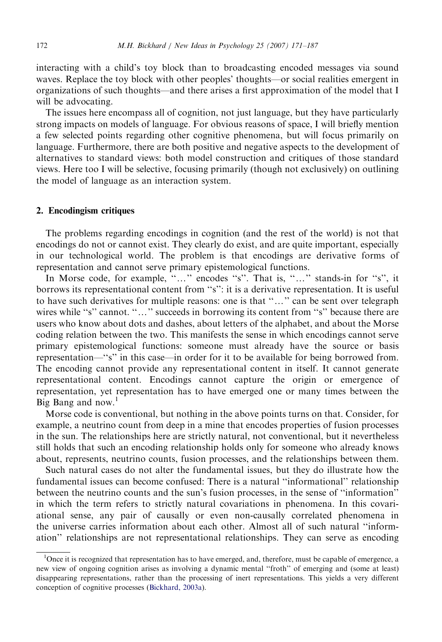interacting with a child's toy block than to broadcasting encoded messages via sound waves. Replace the toy block with other peoples' thoughts—or social realities emergent in organizations of such thoughts—and there arises a first approximation of the model that I will be advocating.

The issues here encompass all of cognition, not just language, but they have particularly strong impacts on models of language. For obvious reasons of space, I will briefly mention a few selected points regarding other cognitive phenomena, but will focus primarily on language. Furthermore, there are both positive and negative aspects to the development of alternatives to standard views: both model construction and critiques of those standard views. Here too I will be selective, focusing primarily (though not exclusively) on outlining the model of language as an interaction system.

## 2. Encodingism critiques

The problems regarding encodings in cognition (and the rest of the world) is not that encodings do not or cannot exist. They clearly do exist, and are quite important, especially in our technological world. The problem is that encodings are derivative forms of representation and cannot serve primary epistemological functions.

In Morse code, for example, "..." encodes "s". That is, "..." stands-in for "s", it borrows its representational content from ''s'': it is a derivative representation. It is useful to have such derivatives for multiple reasons: one is that "..." can be sent over telegraph wires while "s" cannot. "..." succeeds in borrowing its content from "s" because there are users who know about dots and dashes, about letters of the alphabet, and about the Morse coding relation between the two. This manifests the sense in which encodings cannot serve primary epistemological functions: someone must already have the source or basis representation—''s'' in this case—in order for it to be available for being borrowed from. The encoding cannot provide any representational content in itself. It cannot generate representational content. Encodings cannot capture the origin or emergence of representation, yet representation has to have emerged one or many times between the Big Bang and now. $<sup>1</sup>$ </sup>

Morse code is conventional, but nothing in the above points turns on that. Consider, for example, a neutrino count from deep in a mine that encodes properties of fusion processes in the sun. The relationships here are strictly natural, not conventional, but it nevertheless still holds that such an encoding relationship holds only for someone who already knows about, represents, neutrino counts, fusion processes, and the relationships between them.

Such natural cases do not alter the fundamental issues, but they do illustrate how the fundamental issues can become confused: There is a natural ''informational'' relationship between the neutrino counts and the sun's fusion processes, in the sense of ''information'' in which the term refers to strictly natural covariations in phenomena. In this covariational sense, any pair of causally or even non-causally correlated phenomena in the universe carries information about each other. Almost all of such natural ''information'' relationships are not representational relationships. They can serve as encoding

<sup>&</sup>lt;sup>1</sup>Once it is recognized that representation has to have emerged, and, therefore, must be capable of emergence, a new view of ongoing cognition arises as involving a dynamic mental ''froth'' of emerging and (some at least) disappearing representations, rather than the processing of inert representations. This yields a very different conception of cognitive processes ([Bickhard, 2003a\)](#page-15-0).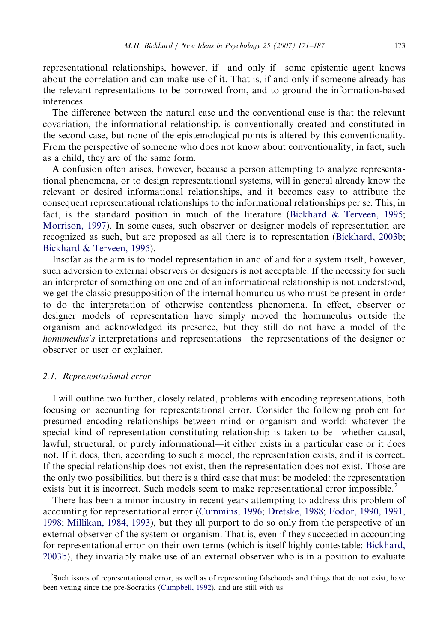representational relationships, however, if—and only if—some epistemic agent knows about the correlation and can make use of it. That is, if and only if someone already has the relevant representations to be borrowed from, and to ground the information-based inferences.

The difference between the natural case and the conventional case is that the relevant covariation, the informational relationship, is conventionally created and constituted in the second case, but none of the epistemological points is altered by this conventionality. From the perspective of someone who does not know about conventionality, in fact, such as a child, they are of the same form.

A confusion often arises, however, because a person attempting to analyze representational phenomena, or to design representational systems, will in general already know the relevant or desired informational relationships, and it becomes easy to attribute the consequent representational relationships to the informational relationships per se. This, in fact, is the standard position in much of the literature ([Bickhard](#page-15-0) & [Terveen, 1995;](#page-15-0) [Morrison, 1997\)](#page-16-0). In some cases, such observer or designer models of representation are recognized as such, but are proposed as all there is to representation ([Bickhard, 2003b;](#page-15-0) [Bickhard & Terveen, 1995\)](#page-15-0).

Insofar as the aim is to model representation in and of and for a system itself, however, such adversion to external observers or designers is not acceptable. If the necessity for such an interpreter of something on one end of an informational relationship is not understood, we get the classic presupposition of the internal homunculus who must be present in order to do the interpretation of otherwise contentless phenomena. In effect, observer or designer models of representation have simply moved the homunculus outside the organism and acknowledged its presence, but they still do not have a model of the homunculus's interpretations and representations—the representations of the designer or observer or user or explainer.

## 2.1. Representational error

I will outline two further, closely related, problems with encoding representations, both focusing on accounting for representational error. Consider the following problem for presumed encoding relationships between mind or organism and world: whatever the special kind of representation constituting relationship is taken to be—whether causal, lawful, structural, or purely informational—it either exists in a particular case or it does not. If it does, then, according to such a model, the representation exists, and it is correct. If the special relationship does not exist, then the representation does not exist. Those are the only two possibilities, but there is a third case that must be modeled: the representation exists but it is incorrect. Such models seem to make representational error impossible.<sup>2</sup>

There has been a minor industry in recent years attempting to address this problem of accounting for representational error ([Cummins, 1996](#page-15-0); [Dretske, 1988](#page-15-0); [Fodor, 1990, 1991,](#page-15-0) [1998](#page-15-0); [Millikan, 1984, 1993](#page-16-0)), but they all purport to do so only from the perspective of an external observer of the system or organism. That is, even if they succeeded in accounting for representational error on their own terms (which is itself highly contestable: [Bickhard,](#page-15-0) [2003b\)](#page-15-0), they invariably make use of an external observer who is in a position to evaluate

<sup>2</sup> Such issues of representational error, as well as of representing falsehoods and things that do not exist, have been vexing since the pre-Socratics [\(Campbell, 1992\)](#page-15-0), and are still with us.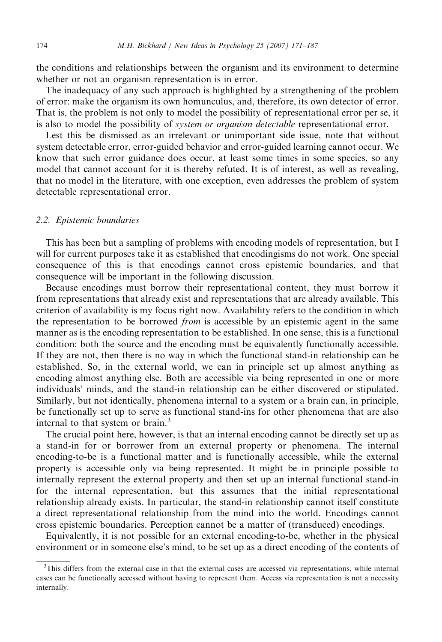the conditions and relationships between the organism and its environment to determine whether or not an organism representation is in error.

The inadequacy of any such approach is highlighted by a strengthening of the problem of error: make the organism its own homunculus, and, therefore, its own detector of error. That is, the problem is not only to model the possibility of representational error per se, it is also to model the possibility of *system or organism detectable* representational error.

Lest this be dismissed as an irrelevant or unimportant side issue, note that without system detectable error, error-guided behavior and error-guided learning cannot occur. We know that such error guidance does occur, at least some times in some species, so any model that cannot account for it is thereby refuted. It is of interest, as well as revealing, that no model in the literature, with one exception, even addresses the problem of system detectable representational error.

# 2.2. Epistemic boundaries

This has been but a sampling of problems with encoding models of representation, but I will for current purposes take it as established that encodingisms do not work. One special consequence of this is that encodings cannot cross epistemic boundaries, and that consequence will be important in the following discussion.

Because encodings must borrow their representational content, they must borrow it from representations that already exist and representations that are already available. This criterion of availability is my focus right now. Availability refers to the condition in which the representation to be borrowed from is accessible by an epistemic agent in the same manner as is the encoding representation to be established. In one sense, this is a functional condition: both the source and the encoding must be equivalently functionally accessible. If they are not, then there is no way in which the functional stand-in relationship can be established. So, in the external world, we can in principle set up almost anything as encoding almost anything else. Both are accessible via being represented in one or more individuals' minds, and the stand-in relationship can be either discovered or stipulated. Similarly, but not identically, phenomena internal to a system or a brain can, in principle, be functionally set up to serve as functional stand-ins for other phenomena that are also internal to that system or brain.<sup>3</sup>

The crucial point here, however, is that an internal encoding cannot be directly set up as a stand-in for or borrower from an external property or phenomena. The internal encoding-to-be is a functional matter and is functionally accessible, while the external property is accessible only via being represented. It might be in principle possible to internally represent the external property and then set up an internal functional stand-in for the internal representation, but this assumes that the initial representational relationship already exists. In particular, the stand-in relationship cannot itself constitute a direct representational relationship from the mind into the world. Encodings cannot cross epistemic boundaries. Perception cannot be a matter of (transduced) encodings.

Equivalently, it is not possible for an external encoding-to-be, whether in the physical environment or in someone else's mind, to be set up as a direct encoding of the contents of

<sup>&</sup>lt;sup>3</sup>This differs from the external case in that the external cases are accessed via representations, while internal cases can be functionally accessed without having to represent them. Access via representation is not a necessity internally.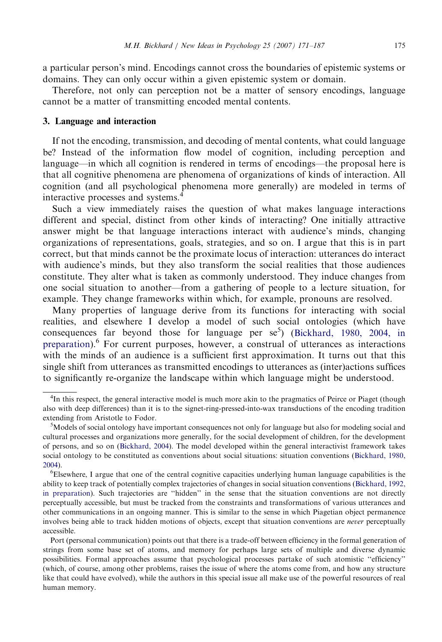a particular person's mind. Encodings cannot cross the boundaries of epistemic systems or domains. They can only occur within a given epistemic system or domain.

Therefore, not only can perception not be a matter of sensory encodings, language cannot be a matter of transmitting encoded mental contents.

#### 3. Language and interaction

If not the encoding, transmission, and decoding of mental contents, what could language be? Instead of the information flow model of cognition, including perception and language—in which all cognition is rendered in terms of encodings—the proposal here is that all cognitive phenomena are phenomena of organizations of kinds of interaction. All cognition (and all psychological phenomena more generally) are modeled in terms of interactive processes and systems.<sup>4</sup>

Such a view immediately raises the question of what makes language interactions different and special, distinct from other kinds of interacting? One initially attractive answer might be that language interactions interact with audience's minds, changing organizations of representations, goals, strategies, and so on. I argue that this is in part correct, but that minds cannot be the proximate locus of interaction: utterances do interact with audience's minds, but they also transform the social realities that those audiences constitute. They alter what is taken as commonly understood. They induce changes from one social situation to another—from a gathering of people to a lecture situation, for example. They change frameworks within which, for example, pronouns are resolved.

Many properties of language derive from its functions for interacting with social realities, and elsewhere I develop a model of such social ontologies (which have consequences far beyond those for language per  $se^5$ ) ([Bickhard, 1980, 2004, in](#page-15-0) [preparation](#page-15-0)).<sup>6</sup> For current purposes, however, a construal of utterances as interactions with the minds of an audience is a sufficient first approximation. It turns out that this single shift from utterances as transmitted encodings to utterances as (inter)actions suffices to significantly re-organize the landscape within which language might be understood.

<sup>&</sup>lt;sup>4</sup>In this respect, the general interactive model is much more akin to the pragmatics of Peirce or Piaget (though also with deep differences) than it is to the signet-ring-pressed-into-wax transductions of the encoding tradition extending from Aristotle to Fodor.

<sup>&</sup>lt;sup>5</sup>Models of social ontology have important consequences not only for language but also for modeling social and cultural processes and organizations more generally, for the social development of children, for the development of persons, and so on ([Bickhard, 2004\)](#page-15-0). The model developed within the general interactivist framework takes social ontology to be constituted as conventions about social situations: situation conventions [\(Bickhard, 1980,](#page-15-0)  $2004$ ).

<sup>&</sup>lt;sup>6</sup>Elsewhere, I argue that one of the central cognitive capacities underlying human language capabilities is the ability to keep track of potentially complex trajectories of changes in social situation conventions [\(Bickhard, 1992,](#page-15-0) [in preparation\)](#page-15-0). Such trajectories are ''hidden'' in the sense that the situation conventions are not directly perceptually accessible, but must be tracked from the constraints and transformations of various utterances and other communications in an ongoing manner. This is similar to the sense in which Piagetian object permanence involves being able to track hidden motions of objects, except that situation conventions are never perceptually accessible.

Port (personal communication) points out that there is a trade-off between efficiency in the formal generation of strings from some base set of atoms, and memory for perhaps large sets of multiple and diverse dynamic possibilities. Formal approaches assume that psychological processes partake of such atomistic ''efficiency'' (which, of course, among other problems, raises the issue of where the atoms come from, and how any structure like that could have evolved), while the authors in this special issue all make use of the powerful resources of real human memory.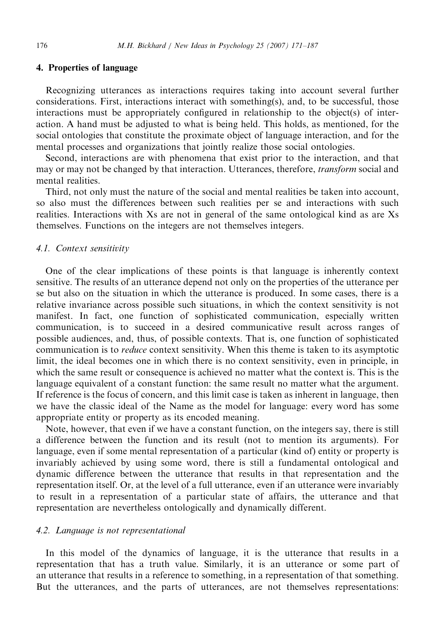## 4. Properties of language

Recognizing utterances as interactions requires taking into account several further considerations. First, interactions interact with something(s), and, to be successful, those interactions must be appropriately configured in relationship to the object(s) of interaction. A hand must be adjusted to what is being held. This holds, as mentioned, for the social ontologies that constitute the proximate object of language interaction, and for the mental processes and organizations that jointly realize those social ontologies.

Second, interactions are with phenomena that exist prior to the interaction, and that may or may not be changed by that interaction. Utterances, therefore, transform social and mental realities.

Third, not only must the nature of the social and mental realities be taken into account, so also must the differences between such realities per se and interactions with such realities. Interactions with Xs are not in general of the same ontological kind as are Xs themselves. Functions on the integers are not themselves integers.

## 4.1. Context sensitivity

One of the clear implications of these points is that language is inherently context sensitive. The results of an utterance depend not only on the properties of the utterance per se but also on the situation in which the utterance is produced. In some cases, there is a relative invariance across possible such situations, in which the context sensitivity is not manifest. In fact, one function of sophisticated communication, especially written communication, is to succeed in a desired communicative result across ranges of possible audiences, and, thus, of possible contexts. That is, one function of sophisticated communication is to *reduce* context sensitivity. When this theme is taken to its asymptotic limit, the ideal becomes one in which there is no context sensitivity, even in principle, in which the same result or consequence is achieved no matter what the context is. This is the language equivalent of a constant function: the same result no matter what the argument. If reference is the focus of concern, and this limit case is taken as inherent in language, then we have the classic ideal of the Name as the model for language: every word has some appropriate entity or property as its encoded meaning.

Note, however, that even if we have a constant function, on the integers say, there is still a difference between the function and its result (not to mention its arguments). For language, even if some mental representation of a particular (kind of) entity or property is invariably achieved by using some word, there is still a fundamental ontological and dynamic difference between the utterance that results in that representation and the representation itself. Or, at the level of a full utterance, even if an utterance were invariably to result in a representation of a particular state of affairs, the utterance and that representation are nevertheless ontologically and dynamically different.

## 4.2. Language is not representational

In this model of the dynamics of language, it is the utterance that results in a representation that has a truth value. Similarly, it is an utterance or some part of an utterance that results in a reference to something, in a representation of that something. But the utterances, and the parts of utterances, are not themselves representations: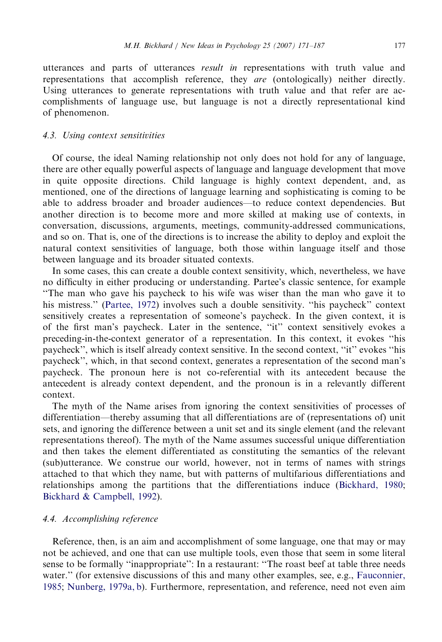utterances and parts of utterances result in representations with truth value and representations that accomplish reference, they are (ontologically) neither directly. Using utterances to generate representations with truth value and that refer are accomplishments of language use, but language is not a directly representational kind of phenomenon.

## 4.3. Using context sensitivities

Of course, the ideal Naming relationship not only does not hold for any of language, there are other equally powerful aspects of language and language development that move in quite opposite directions. Child language is highly context dependent, and, as mentioned, one of the directions of language learning and sophisticating is coming to be able to address broader and broader audiences—to reduce context dependencies. But another direction is to become more and more skilled at making use of contexts, in conversation, discussions, arguments, meetings, community-addressed communications, and so on. That is, one of the directions is to increase the ability to deploy and exploit the natural context sensitivities of language, both those within language itself and those between language and its broader situated contexts.

In some cases, this can create a double context sensitivity, which, nevertheless, we have no difficulty in either producing or understanding. Partee's classic sentence, for example ''The man who gave his paycheck to his wife was wiser than the man who gave it to his mistress.'' [\(Partee, 1972](#page-16-0)) involves such a double sensitivity. ''his paycheck'' context sensitively creates a representation of someone's paycheck. In the given context, it is of the first man's paycheck. Later in the sentence, ''it'' context sensitively evokes a preceding-in-the-context generator of a representation. In this context, it evokes ''his paycheck'', which is itself already context sensitive. In the second context, ''it'' evokes ''his paycheck'', which, in that second context, generates a representation of the second man's paycheck. The pronoun here is not co-referential with its antecedent because the antecedent is already context dependent, and the pronoun is in a relevantly different context.

The myth of the Name arises from ignoring the context sensitivities of processes of differentiation—thereby assuming that all differentiations are of (representations of) unit sets, and ignoring the difference between a unit set and its single element (and the relevant representations thereof). The myth of the Name assumes successful unique differentiation and then takes the element differentiated as constituting the semantics of the relevant (sub)utterance. We construe our world, however, not in terms of names with strings attached to that which they name, but with patterns of multifarious differentiations and relationships among the partitions that the differentiations induce ([Bickhard, 1980;](#page-15-0) [Bickhard & Campbell, 1992\)](#page-15-0).

## 4.4. Accomplishing reference

Reference, then, is an aim and accomplishment of some language, one that may or may not be achieved, and one that can use multiple tools, even those that seem in some literal sense to be formally ''inappropriate'': In a restaurant: ''The roast beef at table three needs water." (for extensive discussions of this and many other examples, see, e.g., [Fauconnier,](#page-15-0) [1985](#page-15-0); [Nunberg, 1979a, b\)](#page-16-0). Furthermore, representation, and reference, need not even aim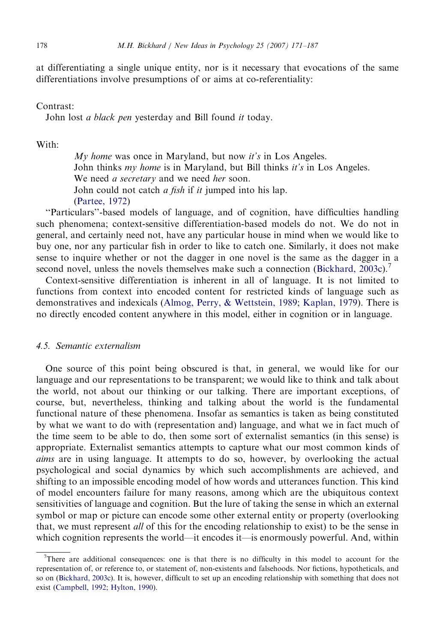at differentiating a single unique entity, nor is it necessary that evocations of the same differentiations involve presumptions of or aims at co-referentiality:

#### Contrast:

John lost a black pen yesterday and Bill found it today.

#### With:

 $My$  home was once in Maryland, but now it's in Los Angeles. John thinks *my home* is in Maryland, but Bill thinks *it's* in Los Angeles. We need *a secretary* and we need *her* soon. John could not catch  $\alpha$  fish if it jumped into his lap. ([Partee, 1972\)](#page-16-0)

''Particulars''-based models of language, and of cognition, have difficulties handling such phenomena; context-sensitive differentiation-based models do not. We do not in general, and certainly need not, have any particular house in mind when we would like to buy one, nor any particular fish in order to like to catch one. Similarly, it does not make sense to inquire whether or not the dagger in one novel is the same as the dagger in a second novel, unless the novels themselves make such a connection (Bickhard,  $2003c$ ).<sup>7</sup>

Context-sensitive differentiation is inherent in all of language. It is not limited to functions from context into encoded content for restricted kinds of language such as demonstratives and indexicals [\(Almog, Perry,](#page-15-0) [& Wettstein, 1989;](#page-15-0) [Kaplan, 1979\)](#page-16-0). There is no directly encoded content anywhere in this model, either in cognition or in language.

## 4.5. Semantic externalism

One source of this point being obscured is that, in general, we would like for our language and our representations to be transparent; we would like to think and talk about the world, not about our thinking or our talking. There are important exceptions, of course, but, nevertheless, thinking and talking about the world is the fundamental functional nature of these phenomena. Insofar as semantics is taken as being constituted by what we want to do with (representation and) language, and what we in fact much of the time seem to be able to do, then some sort of externalist semantics (in this sense) is appropriate. Externalist semantics attempts to capture what our most common kinds of aims are in using language. It attempts to do so, however, by overlooking the actual psychological and social dynamics by which such accomplishments are achieved, and shifting to an impossible encoding model of how words and utterances function. This kind of model encounters failure for many reasons, among which are the ubiquitous context sensitivities of language and cognition. But the lure of taking the sense in which an external symbol or map or picture can encode some other external entity or property (overlooking that, we must represent *all* of this for the encoding relationship to exist) to be the sense in which cognition represents the world—it encodes it—is enormously powerful. And, within

<sup>&</sup>lt;sup>7</sup>There are additional consequences: one is that there is no difficulty in this model to account for the representation of, or reference to, or statement of, non-existents and falsehoods. Nor fictions, hypotheticals, and so on [\(Bickhard, 2003c](#page-15-0)). It is, however, difficult to set up an encoding relationship with something that does not exist [\(Campbell, 1992](#page-15-0); [Hylton, 1990](#page-16-0)).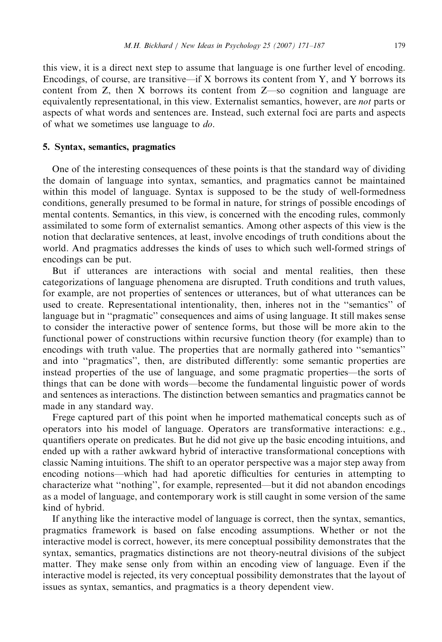this view, it is a direct next step to assume that language is one further level of encoding. Encodings, of course, are transitive—if  $X$  borrows its content from  $Y$ , and  $Y$  borrows its content from Z, then X borrows its content from Z—so cognition and language are equivalently representational, in this view. Externalist semantics, however, are *not* parts or aspects of what words and sentences are. Instead, such external foci are parts and aspects of what we sometimes use language to do.

## 5. Syntax, semantics, pragmatics

One of the interesting consequences of these points is that the standard way of dividing the domain of language into syntax, semantics, and pragmatics cannot be maintained within this model of language. Syntax is supposed to be the study of well-formedness conditions, generally presumed to be formal in nature, for strings of possible encodings of mental contents. Semantics, in this view, is concerned with the encoding rules, commonly assimilated to some form of externalist semantics. Among other aspects of this view is the notion that declarative sentences, at least, involve encodings of truth conditions about the world. And pragmatics addresses the kinds of uses to which such well-formed strings of encodings can be put.

But if utterances are interactions with social and mental realities, then these categorizations of language phenomena are disrupted. Truth conditions and truth values, for example, are not properties of sentences or utterances, but of what utterances can be used to create. Representational intentionality, then, inheres not in the ''semantics'' of language but in ''pragmatic'' consequences and aims of using language. It still makes sense to consider the interactive power of sentence forms, but those will be more akin to the functional power of constructions within recursive function theory (for example) than to encodings with truth value. The properties that are normally gathered into ''semantics'' and into ''pragmatics'', then, are distributed differently: some semantic properties are instead properties of the use of language, and some pragmatic properties—the sorts of things that can be done with words—become the fundamental linguistic power of words and sentences as interactions. The distinction between semantics and pragmatics cannot be made in any standard way.

Frege captured part of this point when he imported mathematical concepts such as of operators into his model of language. Operators are transformative interactions: e.g., quantifiers operate on predicates. But he did not give up the basic encoding intuitions, and ended up with a rather awkward hybrid of interactive transformational conceptions with classic Naming intuitions. The shift to an operator perspective was a major step away from encoding notions—which had had aporetic difficulties for centuries in attempting to characterize what ''nothing'', for example, represented—but it did not abandon encodings as a model of language, and contemporary work is still caught in some version of the same kind of hybrid.

If anything like the interactive model of language is correct, then the syntax, semantics, pragmatics framework is based on false encoding assumptions. Whether or not the interactive model is correct, however, its mere conceptual possibility demonstrates that the syntax, semantics, pragmatics distinctions are not theory-neutral divisions of the subject matter. They make sense only from within an encoding view of language. Even if the interactive model is rejected, its very conceptual possibility demonstrates that the layout of issues as syntax, semantics, and pragmatics is a theory dependent view.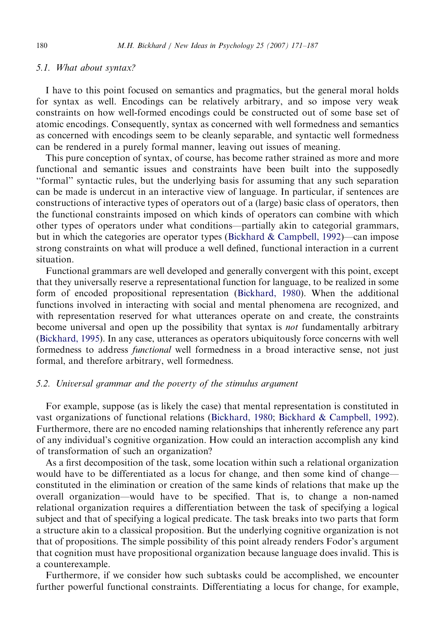## 5.1. What about syntax?

I have to this point focused on semantics and pragmatics, but the general moral holds for syntax as well. Encodings can be relatively arbitrary, and so impose very weak constraints on how well-formed encodings could be constructed out of some base set of atomic encodings. Consequently, syntax as concerned with well formedness and semantics as concerned with encodings seem to be cleanly separable, and syntactic well formedness can be rendered in a purely formal manner, leaving out issues of meaning.

This pure conception of syntax, of course, has become rather strained as more and more functional and semantic issues and constraints have been built into the supposedly ''formal'' syntactic rules, but the underlying basis for assuming that any such separation can be made is undercut in an interactive view of language. In particular, if sentences are constructions of interactive types of operators out of a (large) basic class of operators, then the functional constraints imposed on which kinds of operators can combine with which other types of operators under what conditions—partially akin to categorial grammars, but in which the categories are operator types [\(Bickhard](#page-15-0) [& Campbell, 1992](#page-15-0))—can impose strong constraints on what will produce a well defined, functional interaction in a current situation.

Functional grammars are well developed and generally convergent with this point, except that they universally reserve a representational function for language, to be realized in some form of encoded propositional representation [\(Bickhard, 1980](#page-15-0)). When the additional functions involved in interacting with social and mental phenomena are recognized, and with representation reserved for what utterances operate on and create, the constraints become universal and open up the possibility that syntax is not fundamentally arbitrary ([Bickhard, 1995](#page-15-0)). In any case, utterances as operators ubiquitously force concerns with well formedness to address functional well formedness in a broad interactive sense, not just formal, and therefore arbitrary, well formedness.

## 5.2. Universal grammar and the poverty of the stimulus argument

For example, suppose (as is likely the case) that mental representation is constituted in vast organizations of functional relations [\(Bickhard, 1980;](#page-15-0) [Bickhard & Campbell, 1992](#page-15-0)). Furthermore, there are no encoded naming relationships that inherently reference any part of any individual's cognitive organization. How could an interaction accomplish any kind of transformation of such an organization?

As a first decomposition of the task, some location within such a relational organization would have to be differentiated as a locus for change, and then some kind of change constituted in the elimination or creation of the same kinds of relations that make up the overall organization—would have to be specified. That is, to change a non-named relational organization requires a differentiation between the task of specifying a logical subject and that of specifying a logical predicate. The task breaks into two parts that form a structure akin to a classical proposition. But the underlying cognitive organization is not that of propositions. The simple possibility of this point already renders Fodor's argument that cognition must have propositional organization because language does invalid. This is a counterexample.

Furthermore, if we consider how such subtasks could be accomplished, we encounter further powerful functional constraints. Differentiating a locus for change, for example,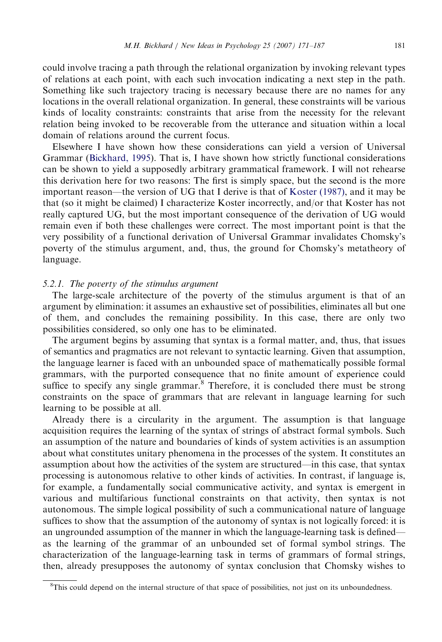could involve tracing a path through the relational organization by invoking relevant types of relations at each point, with each such invocation indicating a next step in the path. Something like such trajectory tracing is necessary because there are no names for any locations in the overall relational organization. In general, these constraints will be various kinds of locality constraints: constraints that arise from the necessity for the relevant relation being invoked to be recoverable from the utterance and situation within a local domain of relations around the current focus.

Elsewhere I have shown how these considerations can yield a version of Universal Grammar [\(Bickhard, 1995\)](#page-15-0). That is, I have shown how strictly functional considerations can be shown to yield a supposedly arbitrary grammatical framework. I will not rehearse this derivation here for two reasons: The first is simply space, but the second is the more important reason—the version of UG that I derive is that of [Koster \(1987\)](#page-16-0), and it may be that (so it might be claimed) I characterize Koster incorrectly, and/or that Koster has not really captured UG, but the most important consequence of the derivation of UG would remain even if both these challenges were correct. The most important point is that the very possibility of a functional derivation of Universal Grammar invalidates Chomsky's poverty of the stimulus argument, and, thus, the ground for Chomsky's metatheory of language.

## 5.2.1. The poverty of the stimulus argument

The large-scale architecture of the poverty of the stimulus argument is that of an argument by elimination: it assumes an exhaustive set of possibilities, eliminates all but one of them, and concludes the remaining possibility. In this case, there are only two possibilities considered, so only one has to be eliminated.

The argument begins by assuming that syntax is a formal matter, and, thus, that issues of semantics and pragmatics are not relevant to syntactic learning. Given that assumption, the language learner is faced with an unbounded space of mathematically possible formal grammars, with the purported consequence that no finite amount of experience could suffice to specify any single grammar. $\delta$  Therefore, it is concluded there must be strong constraints on the space of grammars that are relevant in language learning for such learning to be possible at all.

Already there is a circularity in the argument. The assumption is that language acquisition requires the learning of the syntax of strings of abstract formal symbols. Such an assumption of the nature and boundaries of kinds of system activities is an assumption about what constitutes unitary phenomena in the processes of the system. It constitutes an assumption about how the activities of the system are structured—in this case, that syntax processing is autonomous relative to other kinds of activities. In contrast, if language is, for example, a fundamentally social communicative activity, and syntax is emergent in various and multifarious functional constraints on that activity, then syntax is not autonomous. The simple logical possibility of such a communicational nature of language suffices to show that the assumption of the autonomy of syntax is not logically forced: it is an ungrounded assumption of the manner in which the language-learning task is defined as the learning of the grammar of an unbounded set of formal symbol strings. The characterization of the language-learning task in terms of grammars of formal strings, then, already presupposes the autonomy of syntax conclusion that Chomsky wishes to

<sup>&</sup>lt;sup>8</sup>This could depend on the internal structure of that space of possibilities, not just on its unboundedness.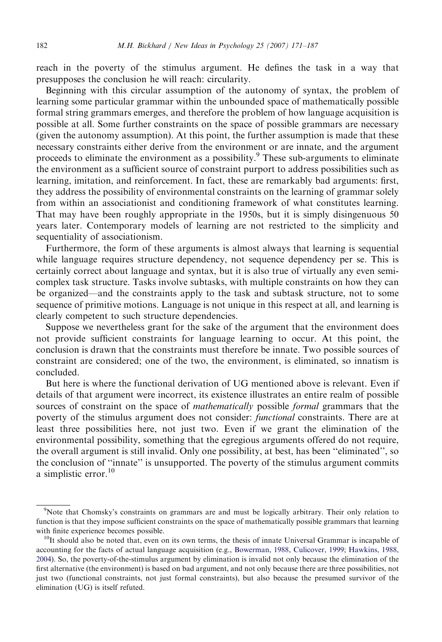reach in the poverty of the stimulus argument. He defines the task in a way that presupposes the conclusion he will reach: circularity.

Beginning with this circular assumption of the autonomy of syntax, the problem of learning some particular grammar within the unbounded space of mathematically possible formal string grammars emerges, and therefore the problem of how language acquisition is possible at all. Some further constraints on the space of possible grammars are necessary (given the autonomy assumption). At this point, the further assumption is made that these necessary constraints either derive from the environment or are innate, and the argument proceeds to eliminate the environment as a possibility.<sup>9</sup> These sub-arguments to eliminate the environment as a sufficient source of constraint purport to address possibilities such as learning, imitation, and reinforcement. In fact, these are remarkably bad arguments: first, they address the possibility of environmental constraints on the learning of grammar solely from within an associationist and conditioning framework of what constitutes learning. That may have been roughly appropriate in the 1950s, but it is simply disingenuous 50 years later. Contemporary models of learning are not restricted to the simplicity and sequentiality of associationism.

Furthermore, the form of these arguments is almost always that learning is sequential while language requires structure dependency, not sequence dependency per se. This is certainly correct about language and syntax, but it is also true of virtually any even semicomplex task structure. Tasks involve subtasks, with multiple constraints on how they can be organized—and the constraints apply to the task and subtask structure, not to some sequence of primitive motions. Language is not unique in this respect at all, and learning is clearly competent to such structure dependencies.

Suppose we nevertheless grant for the sake of the argument that the environment does not provide sufficient constraints for language learning to occur. At this point, the conclusion is drawn that the constraints must therefore be innate. Two possible sources of constraint are considered; one of the two, the environment, is eliminated, so innatism is concluded.

But here is where the functional derivation of UG mentioned above is relevant. Even if details of that argument were incorrect, its existence illustrates an entire realm of possible sources of constraint on the space of *mathematically* possible *formal* grammars that the poverty of the stimulus argument does not consider: functional constraints. There are at least three possibilities here, not just two. Even if we grant the elimination of the environmental possibility, something that the egregious arguments offered do not require, the overall argument is still invalid. Only one possibility, at best, has been ''eliminated'', so the conclusion of ''innate'' is unsupported. The poverty of the stimulus argument commits a simplistic error.<sup>10</sup>

<sup>&</sup>lt;sup>9</sup>Note that Chomsky's constraints on grammars are and must be logically arbitrary. Their only relation to function is that they impose sufficient constraints on the space of mathematically possible grammars that learning with finite experience becomes possible.<br><sup>10</sup>It should also be noted that, even on its own terms, the thesis of innate Universal Grammar is incapable of

accounting for the facts of actual language acquisition (e.g., [Bowerman, 1988,](#page-15-0) [Culicover, 1999](#page-15-0); [Hawkins, 1988,](#page-16-0) [2004](#page-16-0)). So, the poverty-of-the-stimulus argument by elimination is invalid not only because the elimination of the first alternative (the environment) is based on bad argument, and not only because there are three possibilities, not just two (functional constraints, not just formal constraints), but also because the presumed survivor of the elimination (UG) is itself refuted.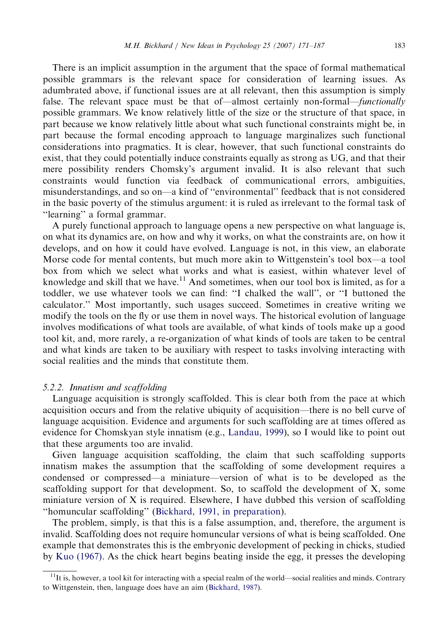There is an implicit assumption in the argument that the space of formal mathematical possible grammars is the relevant space for consideration of learning issues. As adumbrated above, if functional issues are at all relevant, then this assumption is simply false. The relevant space must be that of—almost certainly non-formal—*functionally* possible grammars. We know relatively little of the size or the structure of that space, in part because we know relatively little about what such functional constraints might be, in part because the formal encoding approach to language marginalizes such functional considerations into pragmatics. It is clear, however, that such functional constraints do exist, that they could potentially induce constraints equally as strong as UG, and that their mere possibility renders Chomsky's argument invalid. It is also relevant that such constraints would function via feedback of communicational errors, ambiguities, misunderstandings, and so on—a kind of ''environmental'' feedback that is not considered in the basic poverty of the stimulus argument: it is ruled as irrelevant to the formal task of ''learning'' a formal grammar.

A purely functional approach to language opens a new perspective on what language is, on what its dynamics are, on how and why it works, on what the constraints are, on how it develops, and on how it could have evolved. Language is not, in this view, an elaborate Morse code for mental contents, but much more akin to Wittgenstein's tool box—a tool box from which we select what works and what is easiest, within whatever level of knowledge and skill that we have.<sup>11</sup> And sometimes, when our tool box is limited, as for a toddler, we use whatever tools we can find: ''I chalked the wall'', or ''I buttoned the calculator.'' Most importantly, such usages succeed. Sometimes in creative writing we modify the tools on the fly or use them in novel ways. The historical evolution of language involves modifications of what tools are available, of what kinds of tools make up a good tool kit, and, more rarely, a re-organization of what kinds of tools are taken to be central and what kinds are taken to be auxiliary with respect to tasks involving interacting with social realities and the minds that constitute them.

## 5.2.2. Innatism and scaffolding

Language acquisition is strongly scaffolded. This is clear both from the pace at which acquisition occurs and from the relative ubiquity of acquisition—there is no bell curve of language acquisition. Evidence and arguments for such scaffolding are at times offered as evidence for Chomskyan style innatism (e.g., [Landau, 1999](#page-16-0)), so I would like to point out that these arguments too are invalid.

Given language acquisition scaffolding, the claim that such scaffolding supports innatism makes the assumption that the scaffolding of some development requires a condensed or compressed—a miniature—version of what is to be developed as the scaffolding support for that development. So, to scaffold the development of X, some miniature version of X is required. Elsewhere, I have dubbed this version of scaffolding ''homuncular scaffolding'' ([Bickhard, 1991, in preparation](#page-15-0)).

The problem, simply, is that this is a false assumption, and, therefore, the argument is invalid. Scaffolding does not require homuncular versions of what is being scaffolded. One example that demonstrates this is the embryonic development of pecking in chicks, studied by [Kuo \(1967\)](#page-16-0). As the chick heart begins beating inside the egg, it presses the developing

 $11$ It is, however, a tool kit for interacting with a special realm of the world—social realities and minds. Contrary to Wittgenstein, then, language does have an aim ([Bickhard, 1987\)](#page-15-0).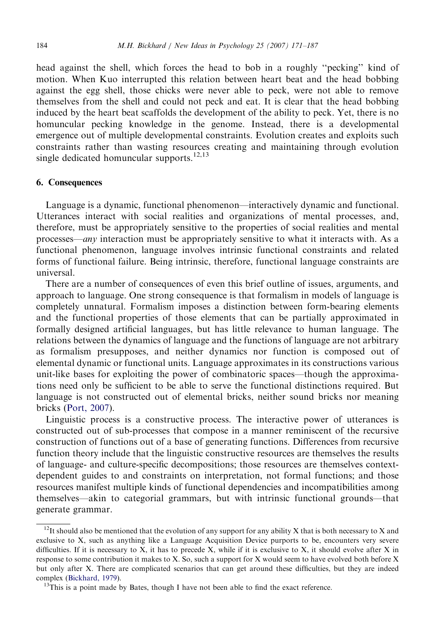head against the shell, which forces the head to bob in a roughly ''pecking'' kind of motion. When Kuo interrupted this relation between heart beat and the head bobbing against the egg shell, those chicks were never able to peck, were not able to remove themselves from the shell and could not peck and eat. It is clear that the head bobbing induced by the heart beat scaffolds the development of the ability to peck. Yet, there is no homuncular pecking knowledge in the genome. Instead, there is a developmental emergence out of multiple developmental constraints. Evolution creates and exploits such constraints rather than wasting resources creating and maintaining through evolution single dedicated homuncular supports.<sup>12,13</sup>

## 6. Consequences

Language is a dynamic, functional phenomenon—interactively dynamic and functional. Utterances interact with social realities and organizations of mental processes, and, therefore, must be appropriately sensitive to the properties of social realities and mental processes—any interaction must be appropriately sensitive to what it interacts with. As a functional phenomenon, language involves intrinsic functional constraints and related forms of functional failure. Being intrinsic, therefore, functional language constraints are universal.

There are a number of consequences of even this brief outline of issues, arguments, and approach to language. One strong consequence is that formalism in models of language is completely unnatural. Formalism imposes a distinction between form-bearing elements and the functional properties of those elements that can be partially approximated in formally designed artificial languages, but has little relevance to human language. The relations between the dynamics of language and the functions of language are not arbitrary as formalism presupposes, and neither dynamics nor function is composed out of elemental dynamic or functional units. Language approximates in its constructions various unit-like bases for exploiting the power of combinatoric spaces—though the approximations need only be sufficient to be able to serve the functional distinctions required. But language is not constructed out of elemental bricks, neither sound bricks nor meaning bricks ([Port, 2007](#page-16-0)).

Linguistic process is a constructive process. The interactive power of utterances is constructed out of sub-processes that compose in a manner reminiscent of the recursive construction of functions out of a base of generating functions. Differences from recursive function theory include that the linguistic constructive resources are themselves the results of language- and culture-specific decompositions; those resources are themselves contextdependent guides to and constraints on interpretation, not formal functions; and those resources manifest multiple kinds of functional dependencies and incompatibilities among themselves—akin to categorial grammars, but with intrinsic functional grounds—that generate grammar.

 $12$ It should also be mentioned that the evolution of any support for any ability X that is both necessary to X and exclusive to X, such as anything like a Language Acquisition Device purports to be, encounters very severe difficulties. If it is necessary to  $X$ , it has to precede  $X$ , while if it is exclusive to  $X$ , it should evolve after  $X$  in response to some contribution it makes to X. So, such a support for X would seem to have evolved both before X but only after X. There are complicated scenarios that can get around these difficulties, but they are indeed complex [\(Bickhard, 1979\)](#page-15-0).

 $13$ This is a point made by Bates, though I have not been able to find the exact reference.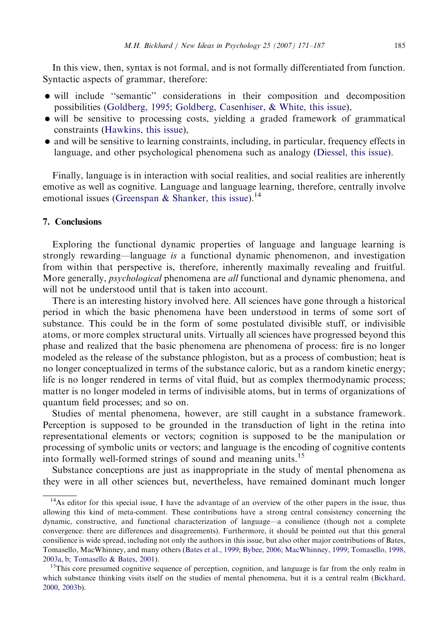In this view, then, syntax is not formal, and is not formally differentiated from function. Syntactic aspects of grammar, therefore:

- will include ''semantic'' considerations in their composition and decomposition possibilities [\(Goldberg, 1995;](#page-16-0) [Goldberg, Casenhiser, & White, this issue\)](#page-16-0),
- will be sensitive to processing costs, yielding a graded framework of grammatical constraints ([Hawkins, this issue\)](#page-16-0),
- and will be sensitive to learning constraints, including, in particular, frequency effects in language, and other psychological phenomena such as analogy ([Diessel, this issue\)](#page-15-0).

Finally, language is in interaction with social realities, and social realities are inherently emotive as well as cognitive. Language and language learning, therefore, centrally involve emotional issues [\(Greenspan & Shanker, this issue](#page-16-0)).<sup>14</sup>

# 7. Conclusions

Exploring the functional dynamic properties of language and language learning is strongly rewarding—language is a functional dynamic phenomenon, and investigation from within that perspective is, therefore, inherently maximally revealing and fruitful. More generally, *psychological* phenomena are *all* functional and dynamic phenomena, and will not be understood until that is taken into account.

There is an interesting history involved here. All sciences have gone through a historical period in which the basic phenomena have been understood in terms of some sort of substance. This could be in the form of some postulated divisible stuff, or indivisible atoms, or more complex structural units. Virtually all sciences have progressed beyond this phase and realized that the basic phenomena are phenomena of process: fire is no longer modeled as the release of the substance phlogiston, but as a process of combustion; heat is no longer conceptualized in terms of the substance caloric, but as a random kinetic energy; life is no longer rendered in terms of vital fluid, but as complex thermodynamic process; matter is no longer modeled in terms of indivisible atoms, but in terms of organizations of quantum field processes; and so on.

Studies of mental phenomena, however, are still caught in a substance framework. Perception is supposed to be grounded in the transduction of light in the retina into representational elements or vectors; cognition is supposed to be the manipulation or processing of symbolic units or vectors; and language is the encoding of cognitive contents into formally well-formed strings of sound and meaning units.<sup>15</sup>

Substance conceptions are just as inappropriate in the study of mental phenomena as they were in all other sciences but, nevertheless, have remained dominant much longer

<sup>&</sup>lt;sup>14</sup>As editor for this special issue, I have the advantage of an overview of the other papers in the issue, thus allowing this kind of meta-comment. These contributions have a strong central consistency concerning the dynamic, constructive, and functional characterization of language—a consilience (though not a complete convergence: there are differences and disagreements). Furthermore, it should be pointed out that this general consilience is wide spread, including not only the authors in this issue, but also other major contributions of Bates, Tomasello, MacWhinney, and many others [\(Bates et al., 1999;](#page-15-0) [Bybee, 2006;](#page-15-0) [MacWhinney, 1999;](#page-16-0) [Tomasello, 1998,](#page-16-0) [2003a, b](#page-16-0); [Tomasello & Bates, 2001\)](#page-16-0).<br><sup>15</sup>This core presumed cognitive sequence of perception, cognition, and language is far from the only realm in

which substance thinking visits itself on the studies of mental phenomena, but it is a central realm [\(Bickhard,](#page-15-0) [2000, 2003b](#page-15-0)).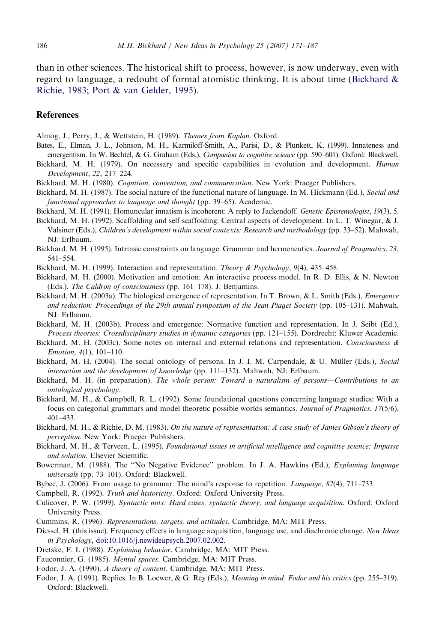<span id="page-15-0"></span>than in other sciences. The historical shift to process, however, is now underway, even with regard to language, a redoubt of formal atomistic thinking. It is about time (Bickhard & Richie, 1983; [Port & van Gelder, 1995\)](#page-16-0).

## References

Almog, J., Perry, J., & Wettstein, H. (1989). Themes from Kaplan. Oxford.

- Bates, E., Elman, J. L., Johnson, M. H., Karmiloff-Smith, A., Parisi, D., & Plunkett, K. (1999). Innateness and emergentism. In W. Bechtel, & G. Graham (Eds.), Companion to cognitive science (pp. 590–601). Oxford: Blackwell.
- Bickhard, M. H. (1979). On necessary and specific capabilities in evolution and development. *Human* Development, 22, 217–224.

Bickhard, M. H. (1980). Cognition, convention, and communication. New York: Praeger Publishers.

- Bickhard, M. H. (1987). The social nature of the functional nature of language. In M. Hickmann (Ed.), Social and functional approaches to language and thought (pp. 39–65). Academic.
- Bickhard, M. H. (1991). Homuncular innatism is incoherent: A reply to Jackendoff. *Genetic Epistemologist*, 19(3), 5.
- Bickhard, M. H. (1992). Scaffolding and self scaffolding: Central aspects of development. In L. T. Winegar, & J. Valsiner (Eds.), Children's development within social contexts: Research and methodology (pp. 33–52). Mahwah, NJ: Erlbaum.
- Bickhard, M. H. (1995). Intrinsic constraints on language: Grammar and hermeneutics. Journal of Pragmatics, 23, 541–554.
- Bickhard, M. H. (1999). Interaction and representation. Theory & Psychology, 9(4), 435–458.
- Bickhard, M. H. (2000). Motivation and emotion: An interactive process model. In R. D. Ellis, & N. Newton (Eds.), The Caldron of consciousness (pp. 161–178). J. Benjamins.
- Bickhard, M. H. (2003a). The biological emergence of representation. In T. Brown, & L. Smith (Eds.), *Emergence* and reduction: Proceedings of the 29th annual symposium of the Jean Piaget Society (pp. 105–131). Mahwah, NJ: Erlbaum.
- Bickhard, M. H. (2003b). Process and emergence: Normative function and representation. In J. Seibt (Ed.), Process theories: Crossdisciplinary studies in dynamic categories (pp. 121–155). Dordrecht: Kluwer Academic.
- Bickhard, M. H. (2003c). Some notes on internal and external relations and representation. Consciousness  $\&$ Emotion, 4(1), 101–110.
- Bickhard, M. H. (2004). The social ontology of persons. In J. I. M. Carpendale, & U. Müller (Eds.), Social interaction and the development of knowledge (pp. 111–132). Mahwah, NJ: Erlbaum.
- Bickhard, M. H. (in preparation). The whole person: Toward a naturalism of persons—Contributions to an ontological psychology.
- Bickhard, M. H., & Campbell, R. L. (1992). Some foundational questions concerning language studies: With a focus on categorial grammars and model theoretic possible worlds semantics. Journal of Pragmatics, 17(5/6), 401–433.
- Bickhard, M. H., & Richie, D. M. (1983). On the nature of representation: A case study of James Gibson's theory of perception. New York: Praeger Publishers.
- Bickhard, M. H., & Terveen, L. (1995). Foundational issues in artificial intelligence and cognitive science: Impasse and solution. Elsevier Scientific.
- Bowerman, M. (1988). The "No Negative Evidence" problem. In J. A. Hawkins (Ed.), Explaining language universals (pp. 73–101). Oxford: Blackwell.
- Bybee, J. (2006). From usage to grammar: The mind's response to repetition. Language, 82(4), 711–733.
- Campbell, R. (1992). Truth and historicity. Oxford: Oxford University Press.
- Culicover, P. W. (1999). Syntactic nuts: Hard cases, syntactic theory, and language acquisition. Oxford: Oxford University Press.
- Cummins, R. (1996). Representations, targets, and attitudes. Cambridge, MA: MIT Press.
- Diessel, H. (this issue). Frequency effects in language acquisition, language use, and diachronic change. New Ideas in Psychology, [doi:10.1016/j.newideapsych.2007.02.002.](dx.doi.org/10.1016/j.newideapsych.2007.02.002)
- Dretske, F. I. (1988). Explaining behavior. Cambridge, MA: MIT Press.
- Fauconnier, G. (1985). Mental spaces. Cambridge, MA: MIT Press.
- Fodor, J. A. (1990). A theory of content. Cambridge, MA: MIT Press.
- Fodor, J. A. (1991). Replies. In B. Loewer, & G. Rey (Eds.), Meaning in mind: Fodor and his critics (pp. 255–319). Oxford: Blackwell.